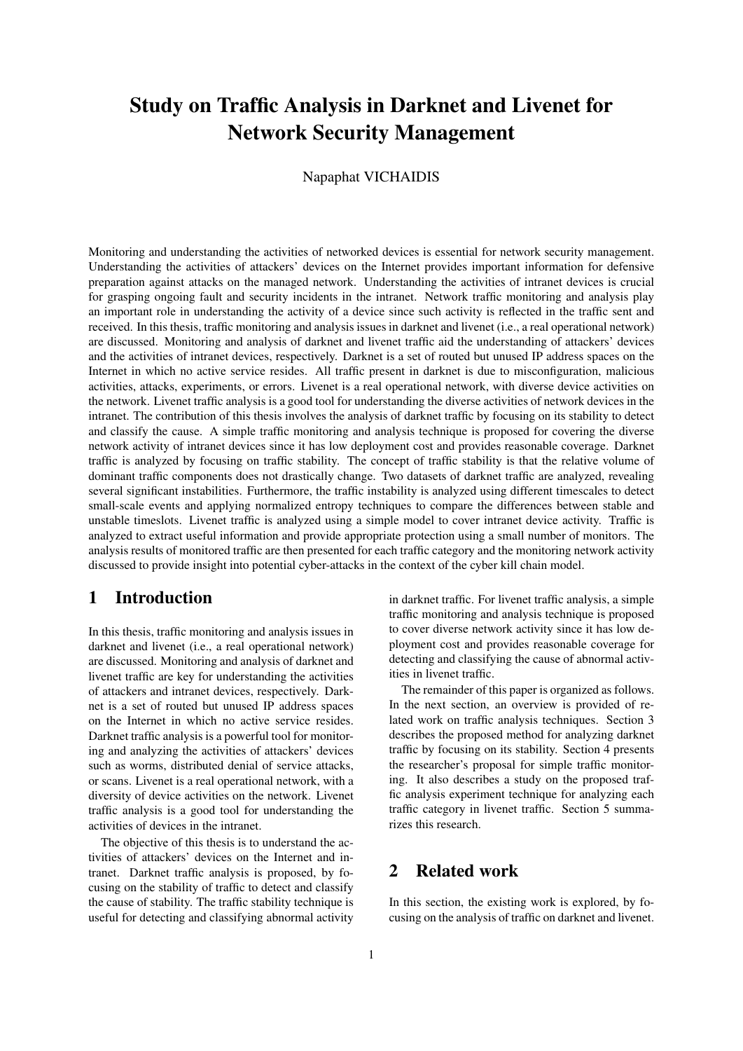# Study on Traffic Analysis in Darknet and Livenet for Network Security Management

### Napaphat VICHAIDIS

Monitoring and understanding the activities of networked devices is essential for network security management. Understanding the activities of attackers' devices on the Internet provides important information for defensive preparation against attacks on the managed network. Understanding the activities of intranet devices is crucial for grasping ongoing fault and security incidents in the intranet. Network traffic monitoring and analysis play an important role in understanding the activity of a device since such activity is reflected in the traffic sent and received. In this thesis, traffic monitoring and analysis issues in darknet and livenet (i.e., a real operational network) are discussed. Monitoring and analysis of darknet and livenet traffic aid the understanding of attackers' devices and the activities of intranet devices, respectively. Darknet is a set of routed but unused IP address spaces on the Internet in which no active service resides. All traffic present in darknet is due to misconfiguration, malicious activities, attacks, experiments, or errors. Livenet is a real operational network, with diverse device activities on the network. Livenet traffic analysis is a good tool for understanding the diverse activities of network devices in the intranet. The contribution of this thesis involves the analysis of darknet traffic by focusing on its stability to detect and classify the cause. A simple traffic monitoring and analysis technique is proposed for covering the diverse network activity of intranet devices since it has low deployment cost and provides reasonable coverage. Darknet traffic is analyzed by focusing on traffic stability. The concept of traffic stability is that the relative volume of dominant traffic components does not drastically change. Two datasets of darknet traffic are analyzed, revealing several significant instabilities. Furthermore, the traffic instability is analyzed using different timescales to detect small-scale events and applying normalized entropy techniques to compare the differences between stable and unstable timeslots. Livenet traffic is analyzed using a simple model to cover intranet device activity. Traffic is analyzed to extract useful information and provide appropriate protection using a small number of monitors. The analysis results of monitored traffic are then presented for each traffic category and the monitoring network activity discussed to provide insight into potential cyber-attacks in the context of the cyber kill chain model.

## 1 Introduction

In this thesis, traffic monitoring and analysis issues in darknet and livenet (i.e., a real operational network) are discussed. Monitoring and analysis of darknet and livenet traffic are key for understanding the activities of attackers and intranet devices, respectively. Darknet is a set of routed but unused IP address spaces on the Internet in which no active service resides. Darknet traffic analysis is a powerful tool for monitoring and analyzing the activities of attackers' devices such as worms, distributed denial of service attacks, or scans. Livenet is a real operational network, with a diversity of device activities on the network. Livenet traffic analysis is a good tool for understanding the activities of devices in the intranet.

The objective of this thesis is to understand the activities of attackers' devices on the Internet and intranet. Darknet traffic analysis is proposed, by focusing on the stability of traffic to detect and classify the cause of stability. The traffic stability technique is useful for detecting and classifying abnormal activity in darknet traffic. For livenet traffic analysis, a simple traffic monitoring and analysis technique is proposed to cover diverse network activity since it has low deployment cost and provides reasonable coverage for detecting and classifying the cause of abnormal activities in livenet traffic.

The remainder of this paper is organized as follows. In the next section, an overview is provided of related work on traffic analysis techniques. Section 3 describes the proposed method for analyzing darknet traffic by focusing on its stability. Section 4 presents the researcher's proposal for simple traffic monitoring. It also describes a study on the proposed traffic analysis experiment technique for analyzing each traffic category in livenet traffic. Section 5 summarizes this research.

## 2 Related work

In this section, the existing work is explored, by focusing on the analysis of traffic on darknet and livenet.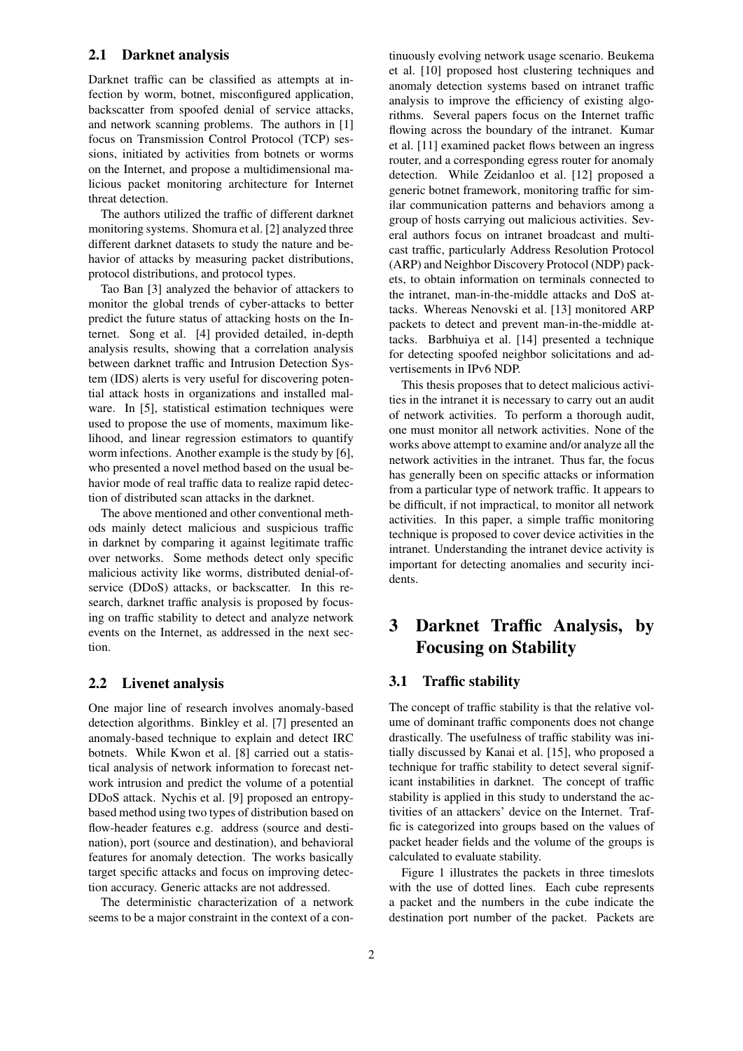### 2.1 Darknet analysis

Darknet traffic can be classified as attempts at infection by worm, botnet, misconfigured application, backscatter from spoofed denial of service attacks, and network scanning problems. The authors in [1] focus on Transmission Control Protocol (TCP) sessions, initiated by activities from botnets or worms on the Internet, and propose a multidimensional malicious packet monitoring architecture for Internet threat detection.

The authors utilized the traffic of different darknet monitoring systems. Shomura et al. [2] analyzed three different darknet datasets to study the nature and behavior of attacks by measuring packet distributions, protocol distributions, and protocol types.

Tao Ban [3] analyzed the behavior of attackers to monitor the global trends of cyber-attacks to better predict the future status of attacking hosts on the Internet. Song et al. [4] provided detailed, in-depth analysis results, showing that a correlation analysis between darknet traffic and Intrusion Detection System (IDS) alerts is very useful for discovering potential attack hosts in organizations and installed malware. In [5], statistical estimation techniques were used to propose the use of moments, maximum likelihood, and linear regression estimators to quantify worm infections. Another example is the study by [6], who presented a novel method based on the usual behavior mode of real traffic data to realize rapid detection of distributed scan attacks in the darknet.

The above mentioned and other conventional methods mainly detect malicious and suspicious traffic in darknet by comparing it against legitimate traffic over networks. Some methods detect only specific malicious activity like worms, distributed denial-ofservice (DDoS) attacks, or backscatter. In this research, darknet traffic analysis is proposed by focusing on traffic stability to detect and analyze network events on the Internet, as addressed in the next section.

### 2.2 Livenet analysis

One major line of research involves anomaly-based detection algorithms. Binkley et al. [7] presented an anomaly-based technique to explain and detect IRC botnets. While Kwon et al. [8] carried out a statistical analysis of network information to forecast network intrusion and predict the volume of a potential DDoS attack. Nychis et al. [9] proposed an entropybased method using two types of distribution based on flow-header features e.g. address (source and destination), port (source and destination), and behavioral features for anomaly detection. The works basically target specific attacks and focus on improving detection accuracy. Generic attacks are not addressed.

The deterministic characterization of a network seems to be a major constraint in the context of a continuously evolving network usage scenario. Beukema et al. [10] proposed host clustering techniques and anomaly detection systems based on intranet traffic analysis to improve the efficiency of existing algorithms. Several papers focus on the Internet traffic flowing across the boundary of the intranet. Kumar et al. [11] examined packet flows between an ingress router, and a corresponding egress router for anomaly detection. While Zeidanloo et al. [12] proposed a generic botnet framework, monitoring traffic for similar communication patterns and behaviors among a group of hosts carrying out malicious activities. Several authors focus on intranet broadcast and multicast traffic, particularly Address Resolution Protocol (ARP) and Neighbor Discovery Protocol (NDP) packets, to obtain information on terminals connected to the intranet, man-in-the-middle attacks and DoS attacks. Whereas Nenovski et al. [13] monitored ARP packets to detect and prevent man-in-the-middle attacks. Barbhuiya et al. [14] presented a technique for detecting spoofed neighbor solicitations and advertisements in IPv6 NDP.

This thesis proposes that to detect malicious activities in the intranet it is necessary to carry out an audit of network activities. To perform a thorough audit, one must monitor all network activities. None of the works above attempt to examine and/or analyze all the network activities in the intranet. Thus far, the focus has generally been on specific attacks or information from a particular type of network traffic. It appears to be difficult, if not impractical, to monitor all network activities. In this paper, a simple traffic monitoring technique is proposed to cover device activities in the intranet. Understanding the intranet device activity is important for detecting anomalies and security incidents.

## 3 Darknet Traffic Analysis, by Focusing on Stability

#### 3.1 Traffic stability

The concept of traffic stability is that the relative volume of dominant traffic components does not change drastically. The usefulness of traffic stability was initially discussed by Kanai et al. [15], who proposed a technique for traffic stability to detect several significant instabilities in darknet. The concept of traffic stability is applied in this study to understand the activities of an attackers' device on the Internet. Traffic is categorized into groups based on the values of packet header fields and the volume of the groups is calculated to evaluate stability.

Figure 1 illustrates the packets in three timeslots with the use of dotted lines. Each cube represents a packet and the numbers in the cube indicate the destination port number of the packet. Packets are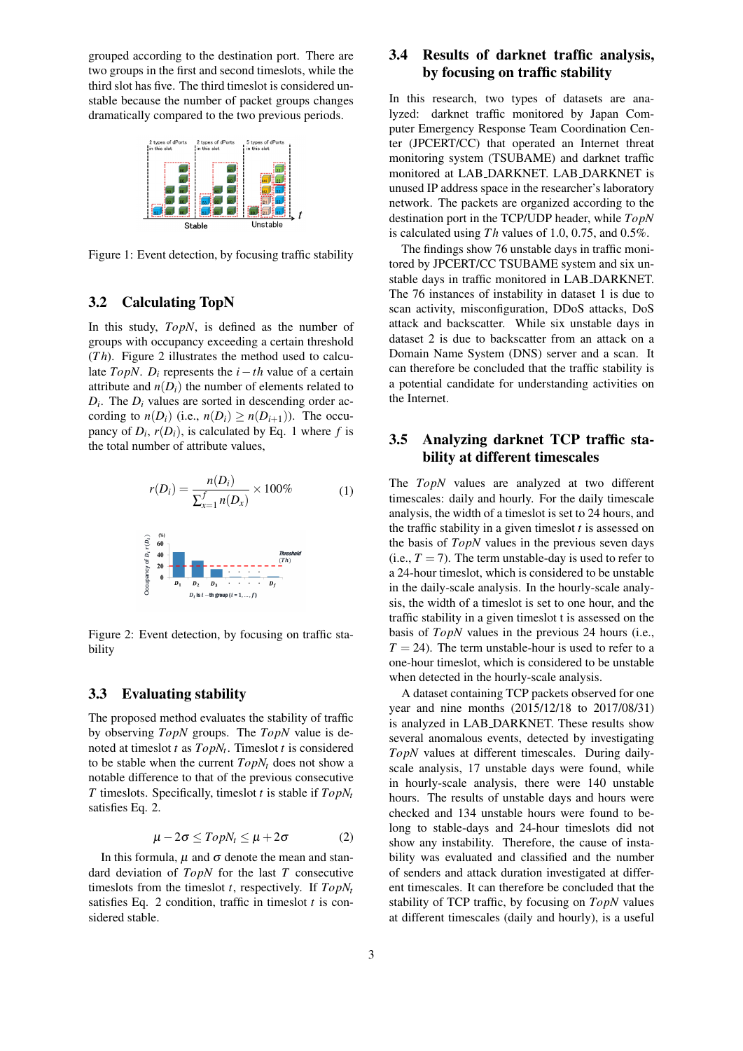grouped according to the destination port. There are two groups in the first and second timeslots, while the third slot has five. The third timeslot is considered unstable because the number of packet groups changes dramatically compared to the two previous periods.



Figure 1: Event detection, by focusing traffic stability

### 3.2 Calculating TopN

In this study, *TopN*, is defined as the number of groups with occupancy exceeding a certain threshold (*T h*). Figure 2 illustrates the method used to calculate *TopN*. *D<sub>i</sub>* represents the  $i - th$  value of a certain attribute and  $n(D_i)$  the number of elements related to  $D_i$ . The  $D_i$  values are sorted in descending order according to  $n(D_i)$  (i.e.,  $n(D_i) \geq n(D_{i+1})$ ). The occupancy of  $D_i$ ,  $r(D_i)$ , is calculated by Eq. 1 where  $f$  is the total number of attribute values,

$$
r(D_i) = \frac{n(D_i)}{\sum_{x=1}^{f} n(D_x)} \times 100\%
$$
 (1)



Figure 2: Event detection, by focusing on traffic stability

### 3.3 Evaluating stability

The proposed method evaluates the stability of traffic by observing *TopN* groups. The *TopN* value is denoted at timeslot *t* as *TopN<sup>t</sup>* . Timeslot *t* is considered to be stable when the current *TopN<sup>t</sup>* does not show a notable difference to that of the previous consecutive *T* timeslots. Specifically, timeslot *t* is stable if *TopN<sup>t</sup>* satisfies Eq. 2.

$$
\mu - 2\sigma \leq TopN_t \leq \mu + 2\sigma \tag{2}
$$

In this formula,  $\mu$  and  $\sigma$  denote the mean and standard deviation of *TopN* for the last *T* consecutive timeslots from the timeslot *t*, respectively. If *TopN<sup>t</sup>* satisfies Eq. 2 condition, traffic in timeslot *t* is considered stable.

## 3.4 Results of darknet traffic analysis, by focusing on traffic stability

In this research, two types of datasets are analyzed: darknet traffic monitored by Japan Computer Emergency Response Team Coordination Center (JPCERT/CC) that operated an Internet threat monitoring system (TSUBAME) and darknet traffic monitored at LAB DARKNET. LAB DARKNET is unused IP address space in the researcher's laboratory network. The packets are organized according to the destination port in the TCP/UDP header, while *TopN* is calculated using *T h* values of 1.0, 0.75, and 0.5%.

The findings show 76 unstable days in traffic monitored by JPCERT/CC TSUBAME system and six unstable days in traffic monitored in LAB DARKNET. The 76 instances of instability in dataset 1 is due to scan activity, misconfiguration, DDoS attacks, DoS attack and backscatter. While six unstable days in dataset 2 is due to backscatter from an attack on a Domain Name System (DNS) server and a scan. It can therefore be concluded that the traffic stability is a potential candidate for understanding activities on the Internet.

### 3.5 Analyzing darknet TCP traffic stability at different timescales

The *TopN* values are analyzed at two different timescales: daily and hourly. For the daily timescale analysis, the width of a timeslot is set to 24 hours, and the traffic stability in a given timeslot *t* is assessed on the basis of *TopN* values in the previous seven days (i.e.,  $T = 7$ ). The term unstable-day is used to refer to a 24-hour timeslot, which is considered to be unstable in the daily-scale analysis. In the hourly-scale analysis, the width of a timeslot is set to one hour, and the traffic stability in a given timeslot t is assessed on the basis of *TopN* values in the previous 24 hours (i.e.,  $T = 24$ ). The term unstable-hour is used to refer to a one-hour timeslot, which is considered to be unstable when detected in the hourly-scale analysis.

A dataset containing TCP packets observed for one year and nine months (2015/12/18 to 2017/08/31) is analyzed in LAB DARKNET. These results show several anomalous events, detected by investigating *TopN* values at different timescales. During dailyscale analysis, 17 unstable days were found, while in hourly-scale analysis, there were 140 unstable hours. The results of unstable days and hours were checked and 134 unstable hours were found to belong to stable-days and 24-hour timeslots did not show any instability. Therefore, the cause of instability was evaluated and classified and the number of senders and attack duration investigated at different timescales. It can therefore be concluded that the stability of TCP traffic, by focusing on *TopN* values at different timescales (daily and hourly), is a useful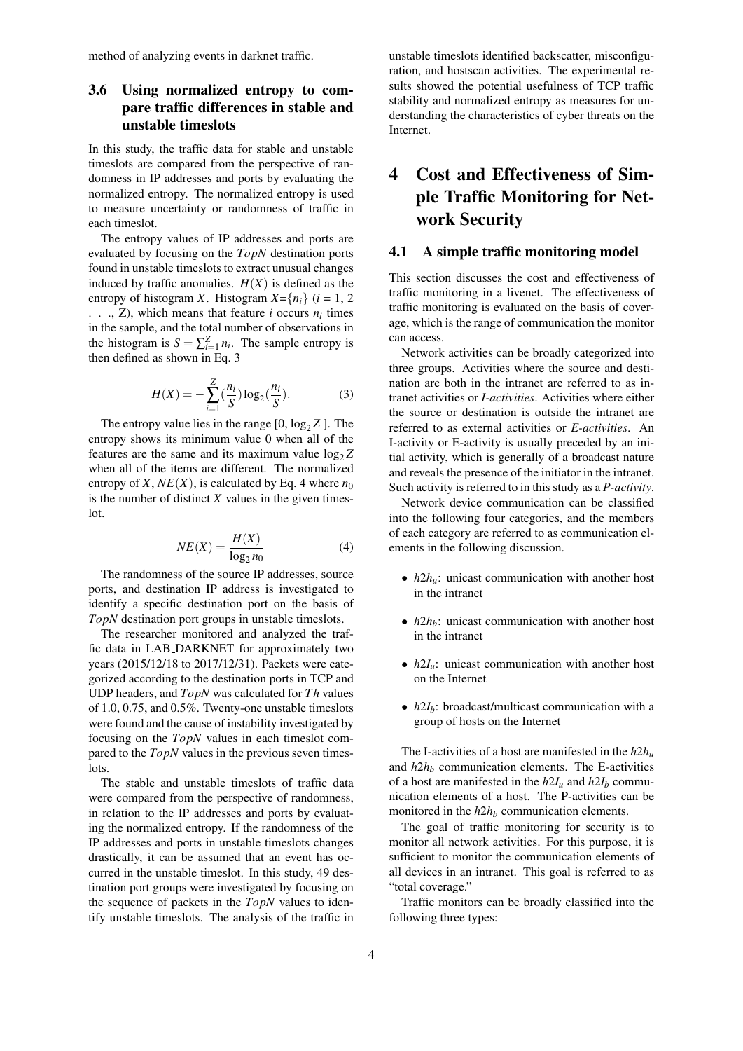method of analyzing events in darknet traffic.

## 3.6 Using normalized entropy to compare traffic differences in stable and unstable timeslots

In this study, the traffic data for stable and unstable timeslots are compared from the perspective of randomness in IP addresses and ports by evaluating the normalized entropy. The normalized entropy is used to measure uncertainty or randomness of traffic in each timeslot.

The entropy values of IP addresses and ports are evaluated by focusing on the *TopN* destination ports found in unstable timeslots to extract unusual changes induced by traffic anomalies.  $H(X)$  is defined as the entropy of histogram *X*. Histogram  $X = \{n_i\}$  (*i* = 1, 2 . . ., Z), which means that feature  $i$  occurs  $n_i$  times in the sample, and the total number of observations in the histogram is  $S = \sum_{i=1}^{Z} n_i$ . The sample entropy is then defined as shown in Eq. 3

$$
H(X) = -\sum_{i=1}^{Z} \left(\frac{n_i}{S}\right) \log_2\left(\frac{n_i}{S}\right). \tag{3}
$$

The entropy value lies in the range  $[0, \log_2 Z]$ . The entropy shows its minimum value 0 when all of the features are the same and its maximum value  $log_2 Z$ when all of the items are different. The normalized entropy of *X*,  $NE(X)$ , is calculated by Eq. 4 where  $n_0$ is the number of distinct  $X$  values in the given timeslot.

$$
NE(X) = \frac{H(X)}{\log_2 n_0} \tag{4}
$$

The randomness of the source IP addresses, source ports, and destination IP address is investigated to identify a specific destination port on the basis of *TopN* destination port groups in unstable timeslots.

The researcher monitored and analyzed the traffic data in LAB DARKNET for approximately two years (2015/12/18 to 2017/12/31). Packets were categorized according to the destination ports in TCP and UDP headers, and *TopN* was calculated for *T h* values of 1.0, 0.75, and 0.5%. Twenty-one unstable timeslots were found and the cause of instability investigated by focusing on the *TopN* values in each timeslot compared to the *TopN* values in the previous seven timeslots.

The stable and unstable timeslots of traffic data were compared from the perspective of randomness, in relation to the IP addresses and ports by evaluating the normalized entropy. If the randomness of the IP addresses and ports in unstable timeslots changes drastically, it can be assumed that an event has occurred in the unstable timeslot. In this study, 49 destination port groups were investigated by focusing on the sequence of packets in the *TopN* values to identify unstable timeslots. The analysis of the traffic in unstable timeslots identified backscatter, misconfiguration, and hostscan activities. The experimental results showed the potential usefulness of TCP traffic stability and normalized entropy as measures for understanding the characteristics of cyber threats on the Internet.

## 4 Cost and Effectiveness of Simple Traffic Monitoring for Network Security

### 4.1 A simple traffic monitoring model

This section discusses the cost and effectiveness of traffic monitoring in a livenet. The effectiveness of traffic monitoring is evaluated on the basis of coverage, which is the range of communication the monitor can access.

Network activities can be broadly categorized into three groups. Activities where the source and destination are both in the intranet are referred to as intranet activities or *I-activities*. Activities where either the source or destination is outside the intranet are referred to as external activities or *E-activities*. An I-activity or E-activity is usually preceded by an initial activity, which is generally of a broadcast nature and reveals the presence of the initiator in the intranet. Such activity is referred to in this study as a *P-activity*.

Network device communication can be classified into the following four categories, and the members of each category are referred to as communication elements in the following discussion.

- *h*2*h*<sub>*u*</sub>: unicast communication with another host in the intranet
- *h*2*h*<sub>*b*</sub>: unicast communication with another host in the intranet
- *h*2*I<sub>u</sub>*: unicast communication with another host on the Internet
- $h2I_b$ : broadcast/multicast communication with a group of hosts on the Internet

The I-activities of a host are manifested in the *h*2*h<sup>u</sup>* and  $h2h_b$  communication elements. The E-activities of a host are manifested in the  $h2I_u$  and  $h2I_b$  communication elements of a host. The P-activities can be monitored in the *h*2*h<sup>b</sup>* communication elements.

The goal of traffic monitoring for security is to monitor all network activities. For this purpose, it is sufficient to monitor the communication elements of all devices in an intranet. This goal is referred to as "total coverage."

Traffic monitors can be broadly classified into the following three types: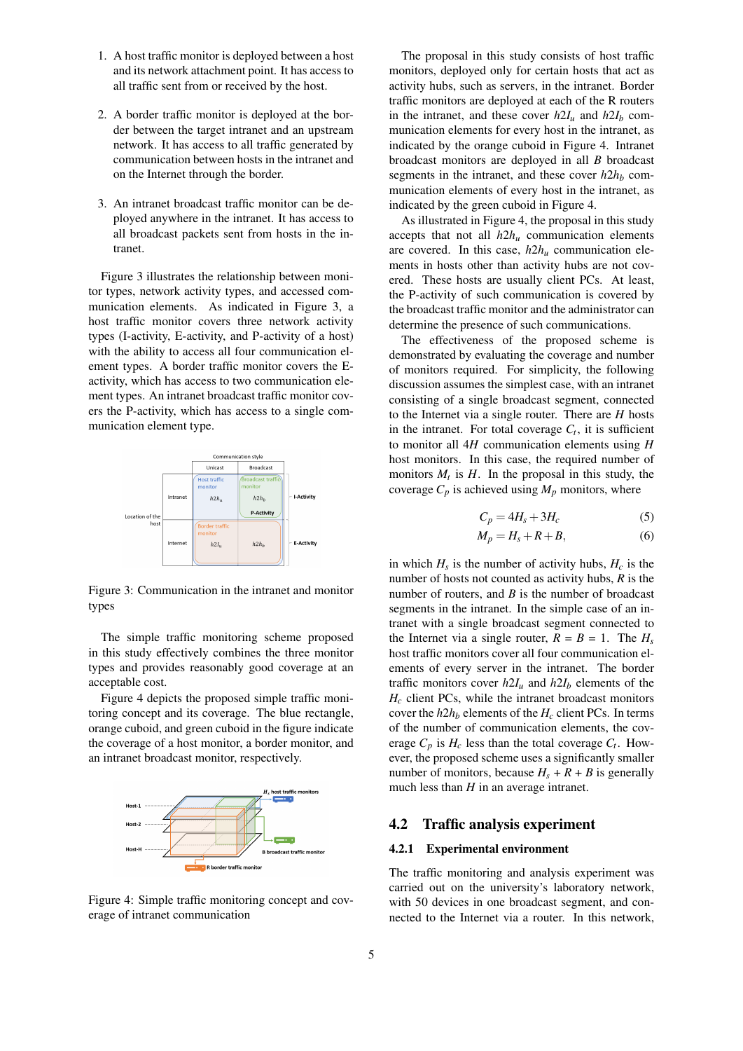- 1. A host traffic monitor is deployed between a host and its network attachment point. It has access to all traffic sent from or received by the host.
- 2. A border traffic monitor is deployed at the border between the target intranet and an upstream network. It has access to all traffic generated by communication between hosts in the intranet and on the Internet through the border.
- 3. An intranet broadcast traffic monitor can be deployed anywhere in the intranet. It has access to all broadcast packets sent from hosts in the intranet.

Figure 3 illustrates the relationship between monitor types, network activity types, and accessed communication elements. As indicated in Figure 3, a host traffic monitor covers three network activity types (I-activity, E-activity, and P-activity of a host) with the ability to access all four communication element types. A border traffic monitor covers the Eactivity, which has access to two communication element types. An intranet broadcast traffic monitor covers the P-activity, which has access to a single communication element type.



Figure 3: Communication in the intranet and monitor types

The simple traffic monitoring scheme proposed in this study effectively combines the three monitor types and provides reasonably good coverage at an acceptable cost.

Figure 4 depicts the proposed simple traffic monitoring concept and its coverage. The blue rectangle, orange cuboid, and green cuboid in the figure indicate the coverage of a host monitor, a border monitor, and an intranet broadcast monitor, respectively.



Figure 4: Simple traffic monitoring concept and coverage of intranet communication

The proposal in this study consists of host traffic monitors, deployed only for certain hosts that act as activity hubs, such as servers, in the intranet. Border traffic monitors are deployed at each of the R routers in the intranet, and these cover  $h2I_u$  and  $h2I_b$  communication elements for every host in the intranet, as indicated by the orange cuboid in Figure 4. Intranet broadcast monitors are deployed in all *B* broadcast segments in the intranet, and these cover  $h2h_b$  communication elements of every host in the intranet, as indicated by the green cuboid in Figure 4.

As illustrated in Figure 4, the proposal in this study accepts that not all  $h2h<sub>u</sub>$  communication elements are covered. In this case, *h*2*h<sup>u</sup>* communication elements in hosts other than activity hubs are not covered. These hosts are usually client PCs. At least, the P-activity of such communication is covered by the broadcast traffic monitor and the administrator can determine the presence of such communications.

The effectiveness of the proposed scheme is demonstrated by evaluating the coverage and number of monitors required. For simplicity, the following discussion assumes the simplest case, with an intranet consisting of a single broadcast segment, connected to the Internet via a single router. There are *H* hosts in the intranet. For total coverage  $C_t$ , it is sufficient to monitor all 4*H* communication elements using *H* host monitors. In this case, the required number of monitors  $M_t$  is  $H$ . In the proposal in this study, the coverage  $C_p$  is achieved using  $M_p$  monitors, where

$$
C_p = 4H_s + 3H_c \tag{5}
$$

$$
M_p = H_s + R + B,\t\t(6)
$$

in which  $H_s$  is the number of activity hubs,  $H_c$  is the number of hosts not counted as activity hubs, *R* is the number of routers, and *B* is the number of broadcast segments in the intranet. In the simple case of an intranet with a single broadcast segment connected to the Internet via a single router,  $R = B = 1$ . The  $H_s$ host traffic monitors cover all four communication elements of every server in the intranet. The border traffic monitors cover  $h2I_u$  and  $h2I_b$  elements of the  $H_c$  client PCs, while the intranet broadcast monitors cover the  $h2h_b$  elements of the  $H_c$  client PCs. In terms of the number of communication elements, the coverage  $C_p$  is  $H_c$  less than the total coverage  $C_t$ . However, the proposed scheme uses a significantly smaller number of monitors, because  $H_s + R + B$  is generally much less than *H* in an average intranet.

### 4.2 Traffic analysis experiment

### 4.2.1 Experimental environment

The traffic monitoring and analysis experiment was carried out on the university's laboratory network, with 50 devices in one broadcast segment, and connected to the Internet via a router. In this network,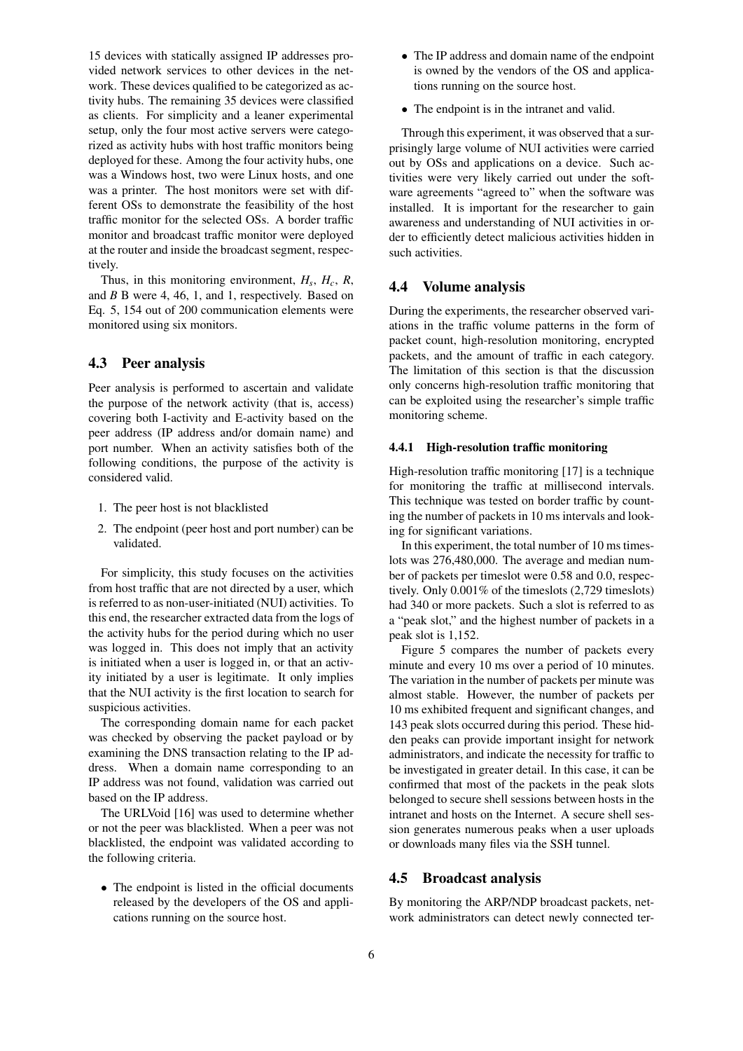15 devices with statically assigned IP addresses provided network services to other devices in the network. These devices qualified to be categorized as activity hubs. The remaining 35 devices were classified as clients. For simplicity and a leaner experimental setup, only the four most active servers were categorized as activity hubs with host traffic monitors being deployed for these. Among the four activity hubs, one was a Windows host, two were Linux hosts, and one was a printer. The host monitors were set with different OSs to demonstrate the feasibility of the host traffic monitor for the selected OSs. A border traffic monitor and broadcast traffic monitor were deployed at the router and inside the broadcast segment, respectively.

Thus, in this monitoring environment,  $H_s$ ,  $H_c$ ,  $R$ , and *B* B were 4, 46, 1, and 1, respectively. Based on Eq. 5, 154 out of 200 communication elements were monitored using six monitors.

### 4.3 Peer analysis

Peer analysis is performed to ascertain and validate the purpose of the network activity (that is, access) covering both I-activity and E-activity based on the peer address (IP address and/or domain name) and port number. When an activity satisfies both of the following conditions, the purpose of the activity is considered valid.

- 1. The peer host is not blacklisted
- 2. The endpoint (peer host and port number) can be validated.

For simplicity, this study focuses on the activities from host traffic that are not directed by a user, which is referred to as non-user-initiated (NUI) activities. To this end, the researcher extracted data from the logs of the activity hubs for the period during which no user was logged in. This does not imply that an activity is initiated when a user is logged in, or that an activity initiated by a user is legitimate. It only implies that the NUI activity is the first location to search for suspicious activities.

The corresponding domain name for each packet was checked by observing the packet payload or by examining the DNS transaction relating to the IP address. When a domain name corresponding to an IP address was not found, validation was carried out based on the IP address.

The URLVoid [16] was used to determine whether or not the peer was blacklisted. When a peer was not blacklisted, the endpoint was validated according to the following criteria.

• The endpoint is listed in the official documents released by the developers of the OS and applications running on the source host.

- The IP address and domain name of the endpoint is owned by the vendors of the OS and applications running on the source host.
- The endpoint is in the intranet and valid.

Through this experiment, it was observed that a surprisingly large volume of NUI activities were carried out by OSs and applications on a device. Such activities were very likely carried out under the software agreements "agreed to" when the software was installed. It is important for the researcher to gain awareness and understanding of NUI activities in order to efficiently detect malicious activities hidden in such activities.

### 4.4 Volume analysis

During the experiments, the researcher observed variations in the traffic volume patterns in the form of packet count, high-resolution monitoring, encrypted packets, and the amount of traffic in each category. The limitation of this section is that the discussion only concerns high-resolution traffic monitoring that can be exploited using the researcher's simple traffic monitoring scheme.

#### 4.4.1 High-resolution traffic monitoring

High-resolution traffic monitoring [17] is a technique for monitoring the traffic at millisecond intervals. This technique was tested on border traffic by counting the number of packets in 10 ms intervals and looking for significant variations.

In this experiment, the total number of 10 ms timeslots was 276,480,000. The average and median number of packets per timeslot were 0.58 and 0.0, respectively. Only 0.001% of the timeslots (2,729 timeslots) had 340 or more packets. Such a slot is referred to as a "peak slot," and the highest number of packets in a peak slot is 1,152.

Figure 5 compares the number of packets every minute and every 10 ms over a period of 10 minutes. The variation in the number of packets per minute was almost stable. However, the number of packets per 10 ms exhibited frequent and significant changes, and 143 peak slots occurred during this period. These hidden peaks can provide important insight for network administrators, and indicate the necessity for traffic to be investigated in greater detail. In this case, it can be confirmed that most of the packets in the peak slots belonged to secure shell sessions between hosts in the intranet and hosts on the Internet. A secure shell session generates numerous peaks when a user uploads or downloads many files via the SSH tunnel.

### 4.5 Broadcast analysis

By monitoring the ARP/NDP broadcast packets, network administrators can detect newly connected ter-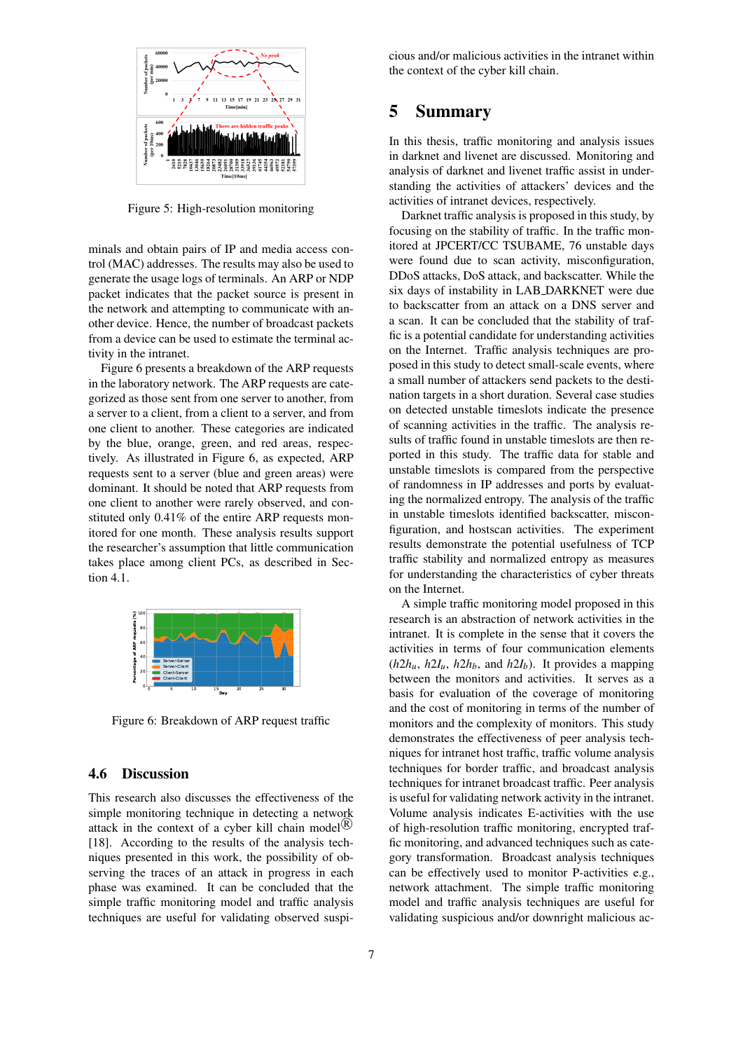

Figure 5: High-resolution monitoring

minals and obtain pairs of IP and media access control (MAC) addresses. The results may also be used to generate the usage logs of terminals. An ARP or NDP packet indicates that the packet source is present in the network and attempting to communicate with another device. Hence, the number of broadcast packets from a device can be used to estimate the terminal activity in the intranet.

Figure 6 presents a breakdown of the ARP requests in the laboratory network. The ARP requests are categorized as those sent from one server to another, from a server to a client, from a client to a server, and from one client to another. These categories are indicated by the blue, orange, green, and red areas, respectively. As illustrated in Figure 6, as expected, ARP requests sent to a server (blue and green areas) were dominant. It should be noted that ARP requests from one client to another were rarely observed, and constituted only 0.41% of the entire ARP requests monitored for one month. These analysis results support the researcher's assumption that little communication takes place among client PCs, as described in Section 4.1.



Figure 6: Breakdown of ARP request traffic

### 4.6 Discussion

This research also discusses the effectiveness of the simple monitoring technique in detecting a network attack in the context of a cyber kill chain model<sup>(R)</sup> [18]. According to the results of the analysis techniques presented in this work, the possibility of observing the traces of an attack in progress in each phase was examined. It can be concluded that the simple traffic monitoring model and traffic analysis techniques are useful for validating observed suspicious and/or malicious activities in the intranet within the context of the cyber kill chain.

## 5 Summary

In this thesis, traffic monitoring and analysis issues in darknet and livenet are discussed. Monitoring and analysis of darknet and livenet traffic assist in understanding the activities of attackers' devices and the activities of intranet devices, respectively.

Darknet traffic analysis is proposed in this study, by focusing on the stability of traffic. In the traffic monitored at JPCERT/CC TSUBAME, 76 unstable days were found due to scan activity, misconfiguration, DDoS attacks, DoS attack, and backscatter. While the six days of instability in LAB DARKNET were due to backscatter from an attack on a DNS server and a scan. It can be concluded that the stability of traffic is a potential candidate for understanding activities on the Internet. Traffic analysis techniques are proposed in this study to detect small-scale events, where a small number of attackers send packets to the destination targets in a short duration. Several case studies on detected unstable timeslots indicate the presence of scanning activities in the traffic. The analysis results of traffic found in unstable timeslots are then reported in this study. The traffic data for stable and unstable timeslots is compared from the perspective of randomness in IP addresses and ports by evaluating the normalized entropy. The analysis of the traffic in unstable timeslots identified backscatter, misconfiguration, and hostscan activities. The experiment results demonstrate the potential usefulness of TCP traffic stability and normalized entropy as measures for understanding the characteristics of cyber threats on the Internet.

A simple traffic monitoring model proposed in this research is an abstraction of network activities in the intranet. It is complete in the sense that it covers the activities in terms of four communication elements  $(h2h_u, h2I_u, h2h_b, \text{ and } h2I_b)$ . It provides a mapping between the monitors and activities. It serves as a basis for evaluation of the coverage of monitoring and the cost of monitoring in terms of the number of monitors and the complexity of monitors. This study demonstrates the effectiveness of peer analysis techniques for intranet host traffic, traffic volume analysis techniques for border traffic, and broadcast analysis techniques for intranet broadcast traffic. Peer analysis is useful for validating network activity in the intranet. Volume analysis indicates E-activities with the use of high-resolution traffic monitoring, encrypted traffic monitoring, and advanced techniques such as category transformation. Broadcast analysis techniques can be effectively used to monitor P-activities e.g., network attachment. The simple traffic monitoring model and traffic analysis techniques are useful for validating suspicious and/or downright malicious ac